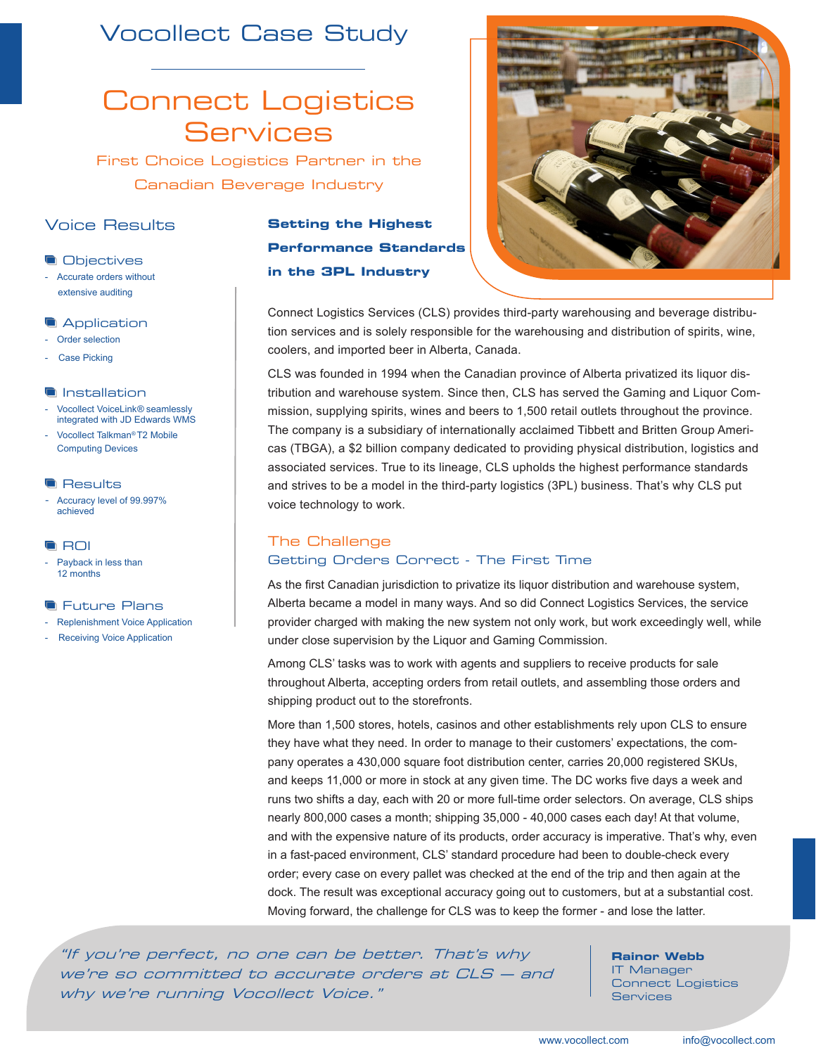# Vocollect Case Study

# Connect Logistics **Services**

First Choice Logistics Partner in the Canadian Beverage Industry

# Voice Results

## **Objectives**

- Accurate orders without extensive auditing

## **Application**

- Order selection
- Case Picking

### **Installation**

- Vocollect VoiceLink*®* seamlessly integrated with JD Edwards WMS
- Vocollect Talkman*®* T2 Mobile Computing Devices

#### **Results**

Accuracy level of 99.997% achieved

## **G**ROI

Payback in less than 12 months

#### **The Future Plans**

- **Replenishment Voice Application**
- Receiving Voice Application

# **Setting the Highest Performance Standards in the 3PL Industry**



CLS was founded in 1994 when the Canadian province of Alberta privatized its liquor distribution and warehouse system. Since then, CLS has served the Gaming and Liquor Commission, supplying spirits, wines and beers to 1,500 retail outlets throughout the province. The company is a subsidiary of internationally acclaimed Tibbett and Britten Group Americas (TBGA), a \$2 billion company dedicated to providing physical distribution, logistics and associated services. True to its lineage, CLS upholds the highest performance standards and strives to be a model in the third-party logistics (3PL) business. That's why CLS put voice technology to work.

# The Challenge Getting Orders Correct - The First Time

As the first Canadian jurisdiction to privatize its liquor distribution and warehouse system, Alberta became a model in many ways. And so did Connect Logistics Services, the service provider charged with making the new system not only work, but work exceedingly well, while under close supervision by the Liquor and Gaming Commission.

Among CLS' tasks was to work with agents and suppliers to receive products for sale throughout Alberta, accepting orders from retail outlets, and assembling those orders and shipping product out to the storefronts.

More than 1,500 stores, hotels, casinos and other establishments rely upon CLS to ensure they have what they need. In order to manage to their customers' expectations, the company operates a 430,000 square foot distribution center, carries 20,000 registered SKUs, and keeps 11,000 or more in stock at any given time. The DC works five days a week and runs two shifts a day, each with 20 or more full-time order selectors. On average, CLS ships nearly 800,000 cases a month; shipping 35,000 - 40,000 cases each day! At that volume, and with the expensive nature of its products, order accuracy is imperative. That's why, even in a fast-paced environment, CLS' standard procedure had been to double-check every order; every case on every pallet was checked at the end of the trip and then again at the dock. The result was exceptional accuracy going out to customers, but at a substantial cost. Moving forward, the challenge for CLS was to keep the former - and lose the latter.

"If you're perfect, no one can be better. That's why we're so committed to accurate orders at CLS — and why we're running Vocollect Voice."

## **Rainor Webb**

IT Manager Connect Logistics Services



#### www.vocollect.com info@vocollect.com